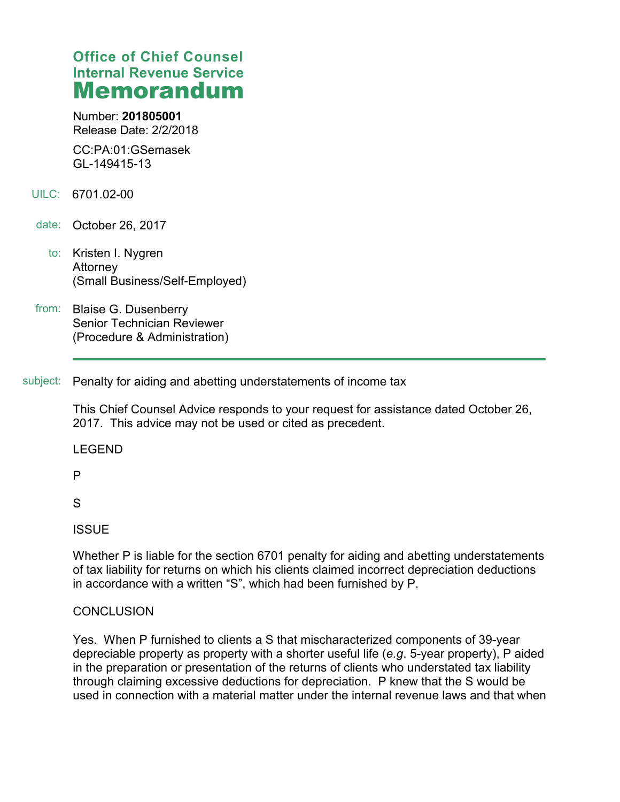# **Office of Chief Counsel Internal Revenue Service Memorandum**

Number: **201805001** Release Date: 2/2/2018

CC:PA:01:GSemasek GL-149415-13

### UILC: 6701.02-00

- date: October 26, 2017
	- to: Kristen I. Nygren **Attorney** (Small Business/Self-Employed)
- from: Blaise G. Dusenberry Senior Technician Reviewer (Procedure & Administration)
- subject: Penalty for aiding and abetting understatements of income tax

This Chief Counsel Advice responds to your request for assistance dated October 26, 2017. This advice may not be used or cited as precedent.

LEGEND

P ---------------------------------

 $S \sim$ 

**ISSUE** 

Whether P is liable for the section 6701 penalty for aiding and abetting understatements of tax liability for returns on which his clients claimed incorrect depreciation deductions in accordance with a written "S", which had been furnished by P.

### **CONCLUSION**

Yes. When P furnished to clients a S that mischaracterized components of 39-year depreciable property as property with a shorter useful life (*e.g*. 5-year property), P aided in the preparation or presentation of the returns of clients who understated tax liability through claiming excessive deductions for depreciation. P knew that the S would be used in connection with a material matter under the internal revenue laws and that when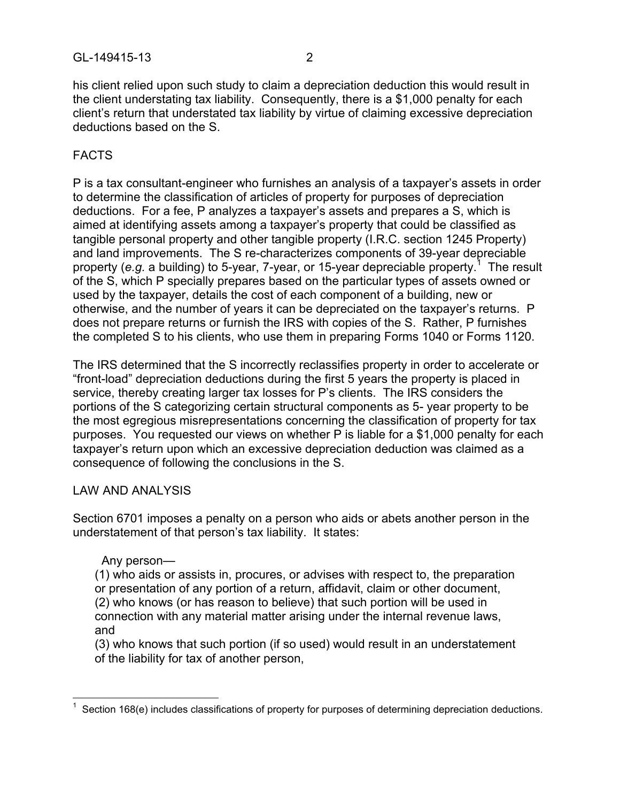his client relied upon such study to claim a depreciation deduction this would result in the client understating tax liability. Consequently, there is a \$1,000 penalty for each client's return that understated tax liability by virtue of claiming excessive depreciation deductions based on the S.

## FACTS

P is a tax consultant-engineer who furnishes an analysis of a taxpayer's assets in order to determine the classification of articles of property for purposes of depreciation deductions. For a fee, P analyzes a taxpayer's assets and prepares a S, which is aimed at identifying assets among a taxpayer's property that could be classified as tangible personal property and other tangible property (I.R.C. section 1245 Property) and land improvements. The S re-characterizes components of 39-year depreciable property (e.g. a building) to 5-year, 7-year, or 15-year depreciable property.<sup>1</sup> The result of the S, which P specially prepares based on the particular types of assets owned or used by the taxpayer, details the cost of each component of a building, new or otherwise, and the number of years it can be depreciated on the taxpayer's returns. P does not prepare returns or furnish the IRS with copies of the S. Rather, P furnishes the completed S to his clients, who use them in preparing Forms 1040 or Forms 1120.

The IRS determined that the S incorrectly reclassifies property in order to accelerate or "front-load" depreciation deductions during the first 5 years the property is placed in service, thereby creating larger tax losses for P's clients. The IRS considers the portions of the S categorizing certain structural components as 5- year property to be the most egregious misrepresentations concerning the classification of property for tax purposes. You requested our views on whether P is liable for a \$1,000 penalty for each taxpayer's return upon which an excessive depreciation deduction was claimed as a consequence of following the conclusions in the S.

### LAW AND ANALYSIS

Section 6701 imposes a penalty on a person who aids or abets another person in the understatement of that person's tax liability. It states:

### Any person—

(1) who aids or assists in, procures, or advises with respect to, the preparation or presentation of any portion of a return, affidavit, claim or other document, (2) who knows (or has reason to believe) that such portion will be used in connection with any material matter arising under the internal revenue laws, and

(3) who knows that such portion (if so used) would result in an understatement of the liability for tax of another person,

<sup>————————————————————&</sup>lt;br><sup>1</sup> Section 168(e) includes classifications of property for purposes of determining depreciation deductions.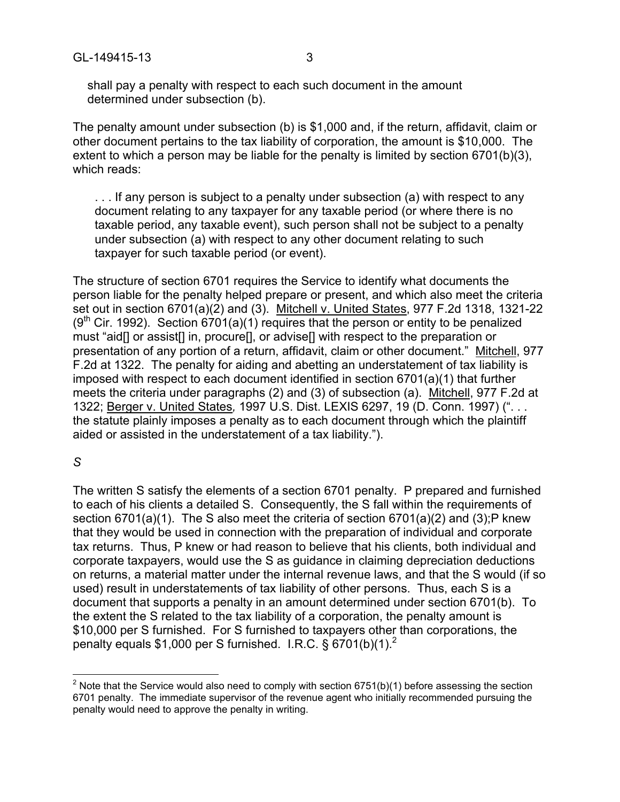shall pay a penalty with respect to each such document in the amount determined under subsection (b).

The penalty amount under subsection (b) is \$1,000 and, if the return, affidavit, claim or other document pertains to the tax liability of corporation, the amount is \$10,000. The extent to which a person may be liable for the penalty is limited by section 6701(b)(3), which reads:

... If any person is subject to a penalty under subsection (a) with respect to any document relating to any taxpayer for any taxable period (or where there is no taxable period, any taxable event), such person shall not be subject to a penalty under subsection (a) with respect to any other document relating to such taxpayer for such taxable period (or event).

The structure of section 6701 requires the Service to identify what documents the person liable for the penalty helped prepare or present, and which also meet the criteria set out in section 6701(a)(2) and (3). Mitchell v. United States, 977 F.2d 1318, 1321-22  $(9<sup>th</sup>$  Cir. 1992). Section 6701(a)(1) requires that the person or entity to be penalized must "aid[] or assist[] in, procure[], or advise[] with respect to the preparation or presentation of any portion of a return, affidavit, claim or other document." Mitchell, 977 F.2d at 1322. The penalty for aiding and abetting an understatement of tax liability is imposed with respect to each document identified in section 6701(a)(1) that further meets the criteria under paragraphs (2) and (3) of subsection (a). Mitchell, 977 F.2d at 1322; Berger v. United States*,* 1997 U.S. Dist. LEXIS 6297, 19 (D. Conn. 1997) (". . . the statute plainly imposes a penalty as to each document through which the plaintiff aided or assisted in the understatement of a tax liability.").

## *S*

 $\overline{a}$ 

The written S satisfy the elements of a section 6701 penalty. P prepared and furnished to each of his clients a detailed S. Consequently, the S fall within the requirements of section 6701(a)(1). The S also meet the criteria of section 6701(a)(2) and (3);P knew that they would be used in connection with the preparation of individual and corporate tax returns. Thus, P knew or had reason to believe that his clients, both individual and corporate taxpayers, would use the S as guidance in claiming depreciation deductions on returns, a material matter under the internal revenue laws, and that the S would (if so used) result in understatements of tax liability of other persons. Thus, each S is a document that supports a penalty in an amount determined under section 6701(b). To the extent the S related to the tax liability of a corporation, the penalty amount is \$10,000 per S furnished. For S furnished to taxpayers other than corporations, the penalty equals \$1,000 per S furnished. I.R.C.  $\S$  6701(b)(1).<sup>2</sup>

<sup>&</sup>lt;sup>2</sup> Note that the Service would also need to comply with section 6751(b)(1) before assessing the section 6701 penalty. The immediate supervisor of the revenue agent who initially recommended pursuing the penalty would need to approve the penalty in writing.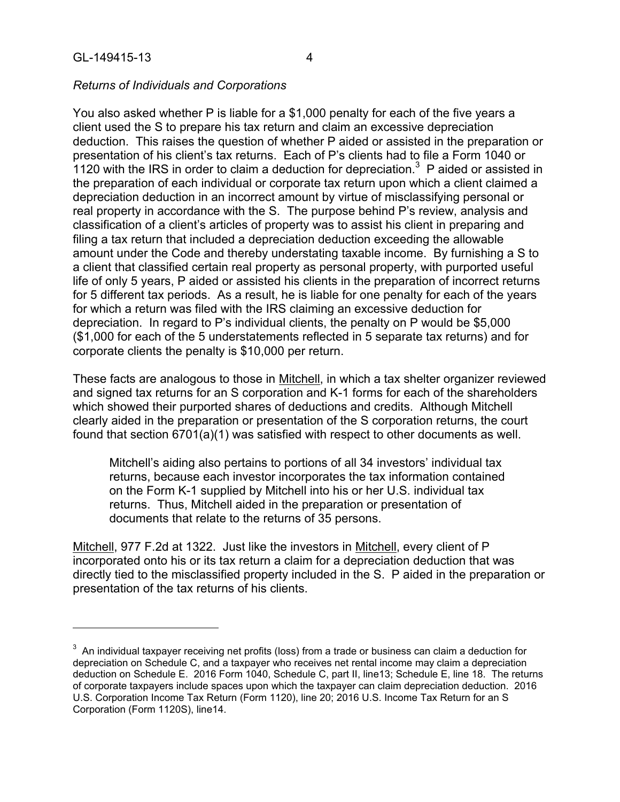$\overline{a}$ 

#### *Returns of Individuals and Corporations*

You also asked whether P is liable for a \$1,000 penalty for each of the five years a client used the S to prepare his tax return and claim an excessive depreciation deduction. This raises the question of whether P aided or assisted in the preparation or presentation of his client's tax returns. Each of P's clients had to file a Form 1040 or 1120 with the IRS in order to claim a deduction for depreciation.<sup>3</sup> P aided or assisted in the preparation of each individual or corporate tax return upon which a client claimed a depreciation deduction in an incorrect amount by virtue of misclassifying personal or real property in accordance with the S. The purpose behind P's review, analysis and classification of a client's articles of property was to assist his client in preparing and filing a tax return that included a depreciation deduction exceeding the allowable amount under the Code and thereby understating taxable income. By furnishing a S to a client that classified certain real property as personal property, with purported useful life of only 5 years, P aided or assisted his clients in the preparation of incorrect returns for 5 different tax periods. As a result, he is liable for one penalty for each of the years for which a return was filed with the IRS claiming an excessive deduction for depreciation. In regard to P's individual clients, the penalty on P would be \$5,000 (\$1,000 for each of the 5 understatements reflected in 5 separate tax returns) and for corporate clients the penalty is \$10,000 per return.

These facts are analogous to those in Mitchell, in which a tax shelter organizer reviewed and signed tax returns for an S corporation and K-1 forms for each of the shareholders which showed their purported shares of deductions and credits. Although Mitchell clearly aided in the preparation or presentation of the S corporation returns, the court found that section 6701(a)(1) was satisfied with respect to other documents as well.

Mitchell's aiding also pertains to portions of all 34 investors' individual tax returns, because each investor incorporates the tax information contained on the Form K-1 supplied by Mitchell into his or her U.S. individual tax returns. Thus, Mitchell aided in the preparation or presentation of documents that relate to the returns of 35 persons.

Mitchell, 977 F.2d at 1322. Just like the investors in Mitchell, every client of P incorporated onto his or its tax return a claim for a depreciation deduction that was directly tied to the misclassified property included in the S. P aided in the preparation or presentation of the tax returns of his clients.

 $3$  An individual taxpayer receiving net profits (loss) from a trade or business can claim a deduction for depreciation on Schedule C, and a taxpayer who receives net rental income may claim a depreciation deduction on Schedule E. 2016 Form 1040, Schedule C, part II, line13; Schedule E, line 18. The returns of corporate taxpayers include spaces upon which the taxpayer can claim depreciation deduction. 2016 U.S. Corporation Income Tax Return (Form 1120), line 20; 2016 U.S. Income Tax Return for an S Corporation (Form 1120S), line14.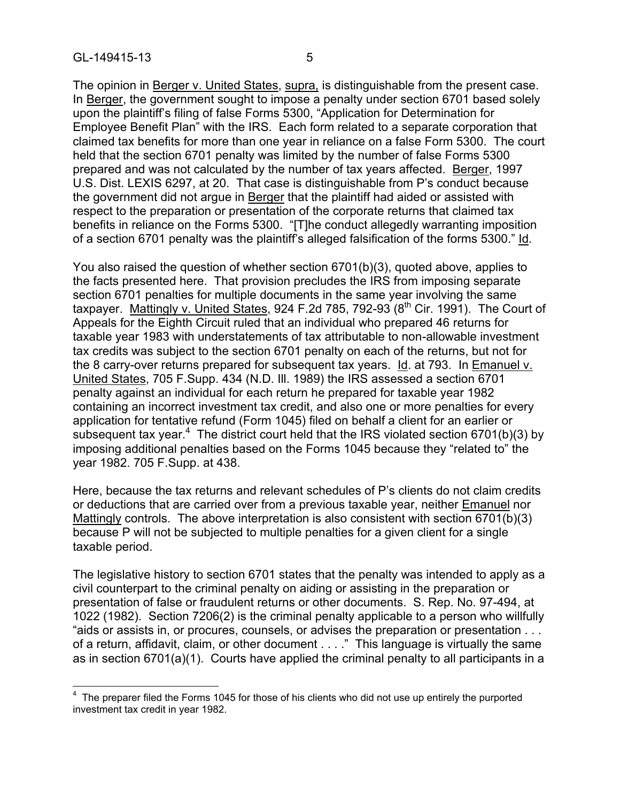The opinion in Berger v. United States, supra, is distinguishable from the present case. In Berger, the government sought to impose a penalty under section 6701 based solely upon the plaintiff's filing of false Forms 5300, "Application for Determination for

Employee Benefit Plan" with the IRS. Each form related to a separate corporation that claimed tax benefits for more than one year in reliance on a false Form 5300. The court held that the section 6701 penalty was limited by the number of false Forms 5300 prepared and was not calculated by the number of tax years affected. Berger, 1997 U.S. Dist. LEXIS 6297, at 20. That case is distinguishable from P's conduct because the government did not argue in Berger that the plaintiff had aided or assisted with respect to the preparation or presentation of the corporate returns that claimed tax benefits in reliance on the Forms 5300. "[T]he conduct allegedly warranting imposition of a section 6701 penalty was the plaintiff's alleged falsification of the forms 5300." Id*.*

You also raised the question of whether section 6701(b)(3), quoted above, applies to the facts presented here. That provision precludes the IRS from imposing separate section 6701 penalties for multiple documents in the same year involving the same taxpayer. Mattingly v. United States, 924 F.2d 785, 792-93 (8<sup>th</sup> Cir. 1991). The Court of Appeals for the Eighth Circuit ruled that an individual who prepared 46 returns for taxable year 1983 with understatements of tax attributable to non-allowable investment tax credits was subject to the section 6701 penalty on each of the returns, but not for the 8 carry-over returns prepared for subsequent tax years. Id. at 793. In Emanuel v. United States, 705 F.Supp. 434 (N.D. Ill. 1989) the IRS assessed a section 6701 penalty against an individual for each return he prepared for taxable year 1982 containing an incorrect investment tax credit, and also one or more penalties for every application for tentative refund (Form 1045) filed on behalf a client for an earlier or subsequent tax year. $4$  The district court held that the IRS violated section 6701(b)(3) by imposing additional penalties based on the Forms 1045 because they "related to" the year 1982. 705 F.Supp. at 438.

Here, because the tax returns and relevant schedules of P's clients do not claim credits or deductions that are carried over from a previous taxable year, neither Emanuel nor Mattingly controls. The above interpretation is also consistent with section 6701(b)(3) because P will not be subjected to multiple penalties for a given client for a single taxable period.

The legislative history to section 6701 states that the penalty was intended to apply as a civil counterpart to the criminal penalty on aiding or assisting in the preparation or presentation of false or fraudulent returns or other documents. S. Rep. No. 97-494, at 1022 (1982). Section 7206(2) is the criminal penalty applicable to a person who willfully "aids or assists in, or procures, counsels, or advises the preparation or presentation . . . of a return, affidavit, claim, or other document . . . ." This language is virtually the same as in section 6701(a)(1). Courts have applied the criminal penalty to all participants in a

 4 The preparer filed the Forms 1045 for those of his clients who did not use up entirely the purported investment tax credit in year 1982.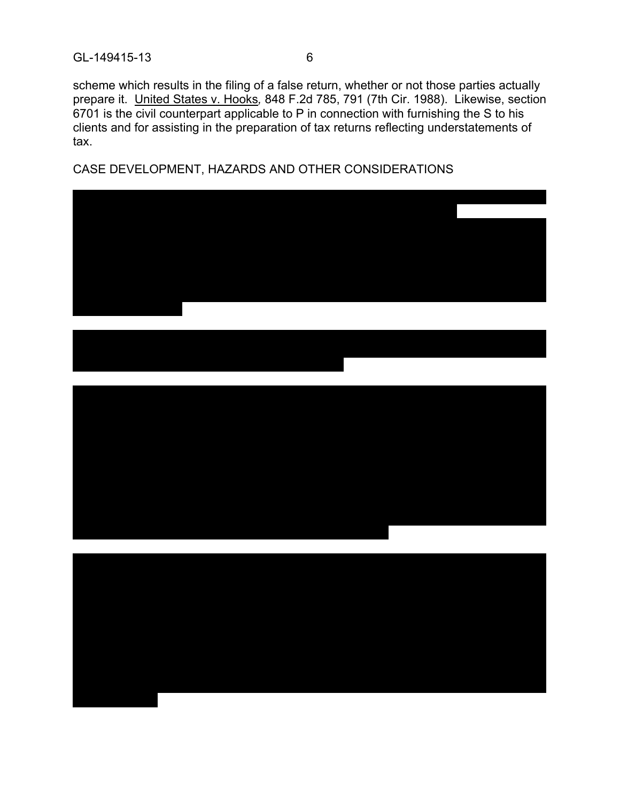scheme which results in the filing of a false return, whether or not those parties actually prepare it. United States v. Hooks*,* 848 F.2d 785, 791 (7th Cir. 1988). Likewise, section 6701 is the civil counterpart applicable to P in connection with furnishing the S to his clients and for assisting in the preparation of tax returns reflecting understatements of tax.

CASE DEVELOPMENT, HAZARDS AND OTHER CONSIDERATIONS